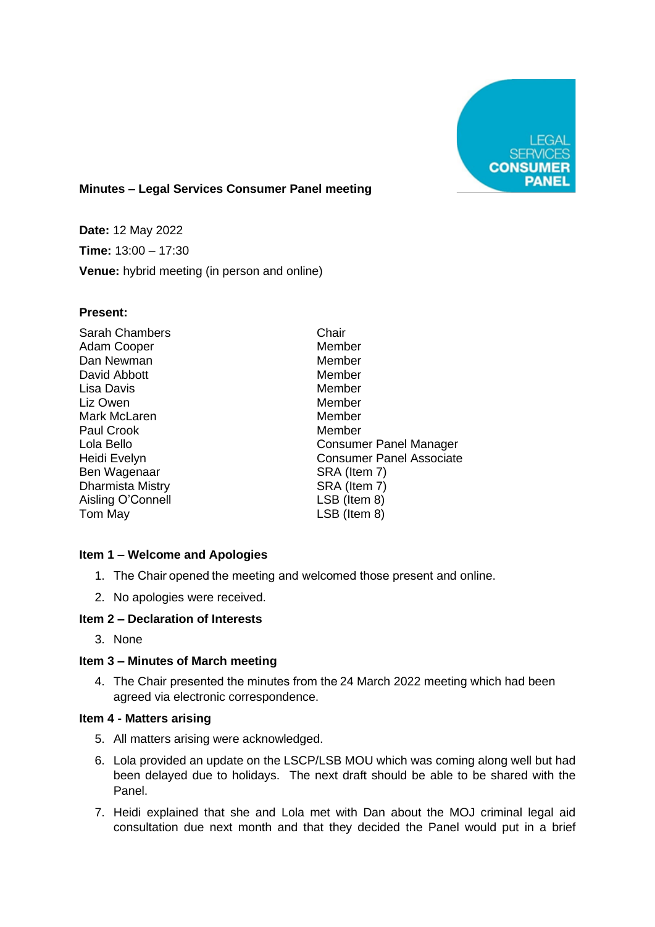

# **Minutes – Legal Services Consumer Panel meeting**

**Date:** 12 May 2022 **Time:** 13:00 – 17:30 **Venue:** hybrid meeting (in person and online)

#### **Present:**

| <b>Sarah Chambers</b>   | Chair                           |
|-------------------------|---------------------------------|
| Adam Cooper             | Member                          |
| Dan Newman              | Member                          |
| David Abbott            | Member                          |
| Lisa Davis              | Member                          |
| Liz Owen                | Member                          |
| Mark McLaren            | Member                          |
| Paul Crook              | Member                          |
| Lola Bello              | Consumer Panel Manager          |
| Heidi Evelyn            | <b>Consumer Panel Associate</b> |
| Ben Wagenaar            | SRA (Item 7)                    |
| <b>Dharmista Mistry</b> | SRA (Item 7)                    |
| Aisling O'Connell       | LSB (Item 8)                    |
| Tom May                 | LSB (Item 8)                    |
|                         |                                 |

## **Item 1 – Welcome and Apologies**

- 1. The Chair opened the meeting and welcomed those present and online.
- 2. No apologies were received.

## **Item 2 – Declaration of Interests**

3. None

## **Item 3 – Minutes of March meeting**

4. The Chair presented the minutes from the 24 March 2022 meeting which had been agreed via electronic correspondence.

# **Item 4 - Matters arising**

- 5. All matters arising were acknowledged.
- 6. Lola provided an update on the LSCP/LSB MOU which was coming along well but had been delayed due to holidays. The next draft should be able to be shared with the Panel.
- 7. Heidi explained that she and Lola met with Dan about the MOJ criminal legal aid consultation due next month and that they decided the Panel would put in a brief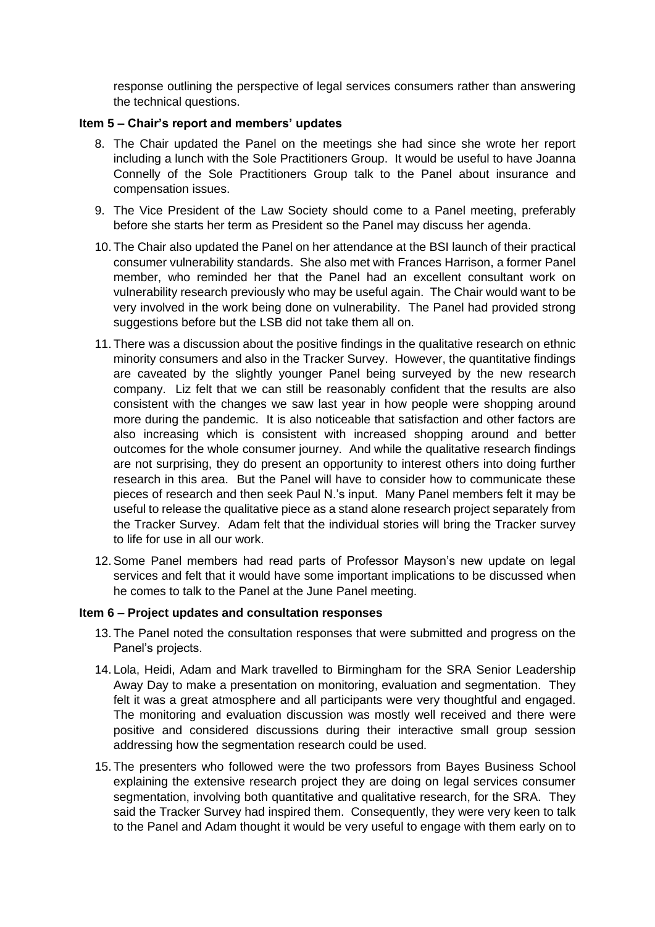response outlining the perspective of legal services consumers rather than answering the technical questions.

#### **Item 5 – Chair's report and members' updates**

- 8. The Chair updated the Panel on the meetings she had since she wrote her report including a lunch with the Sole Practitioners Group. It would be useful to have Joanna Connelly of the Sole Practitioners Group talk to the Panel about insurance and compensation issues.
- 9. The Vice President of the Law Society should come to a Panel meeting, preferably before she starts her term as President so the Panel may discuss her agenda.
- 10. The Chair also updated the Panel on her attendance at the BSI launch of their practical consumer vulnerability standards. She also met with Frances Harrison, a former Panel member, who reminded her that the Panel had an excellent consultant work on vulnerability research previously who may be useful again. The Chair would want to be very involved in the work being done on vulnerability. The Panel had provided strong suggestions before but the LSB did not take them all on.
- 11. There was a discussion about the positive findings in the qualitative research on ethnic minority consumers and also in the Tracker Survey. However, the quantitative findings are caveated by the slightly younger Panel being surveyed by the new research company. Liz felt that we can still be reasonably confident that the results are also consistent with the changes we saw last year in how people were shopping around more during the pandemic. It is also noticeable that satisfaction and other factors are also increasing which is consistent with increased shopping around and better outcomes for the whole consumer journey. And while the qualitative research findings are not surprising, they do present an opportunity to interest others into doing further research in this area. But the Panel will have to consider how to communicate these pieces of research and then seek Paul N.'s input. Many Panel members felt it may be useful to release the qualitative piece as a stand alone research project separately from the Tracker Survey. Adam felt that the individual stories will bring the Tracker survey to life for use in all our work.
- 12.Some Panel members had read parts of Professor Mayson's new update on legal services and felt that it would have some important implications to be discussed when he comes to talk to the Panel at the June Panel meeting.

## **Item 6 – Project updates and consultation responses**

- 13. The Panel noted the consultation responses that were submitted and progress on the Panel's projects.
- 14. Lola, Heidi, Adam and Mark travelled to Birmingham for the SRA Senior Leadership Away Day to make a presentation on monitoring, evaluation and segmentation. They felt it was a great atmosphere and all participants were very thoughtful and engaged. The monitoring and evaluation discussion was mostly well received and there were positive and considered discussions during their interactive small group session addressing how the segmentation research could be used.
- 15. The presenters who followed were the two professors from Bayes Business School explaining the extensive research project they are doing on legal services consumer segmentation, involving both quantitative and qualitative research, for the SRA. They said the Tracker Survey had inspired them. Consequently, they were very keen to talk to the Panel and Adam thought it would be very useful to engage with them early on to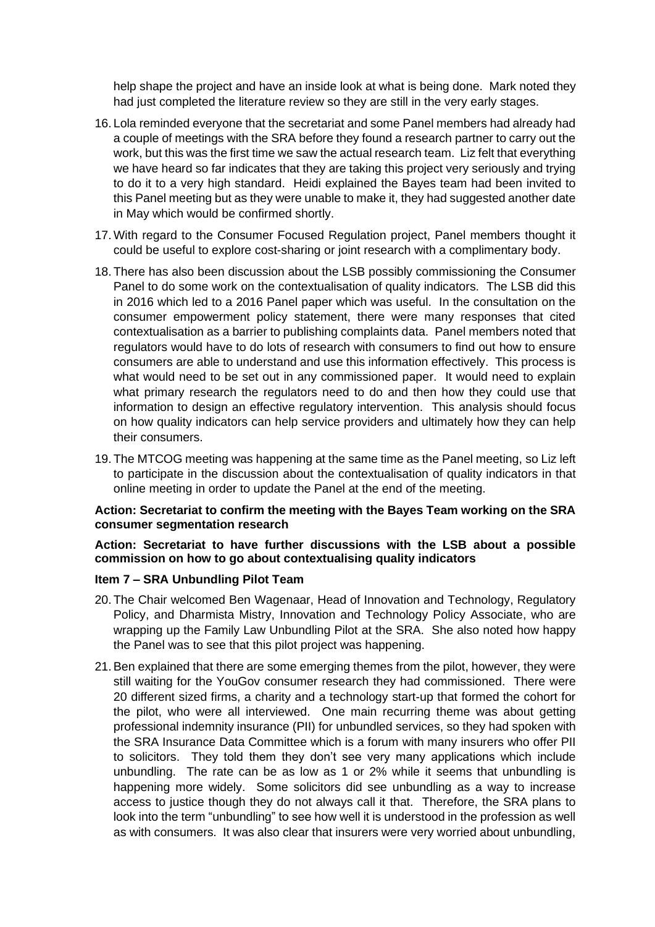help shape the project and have an inside look at what is being done. Mark noted they had just completed the literature review so they are still in the very early stages.

- 16. Lola reminded everyone that the secretariat and some Panel members had already had a couple of meetings with the SRA before they found a research partner to carry out the work, but this was the first time we saw the actual research team. Liz felt that everything we have heard so far indicates that they are taking this project very seriously and trying to do it to a very high standard. Heidi explained the Bayes team had been invited to this Panel meeting but as they were unable to make it, they had suggested another date in May which would be confirmed shortly.
- 17.With regard to the Consumer Focused Regulation project, Panel members thought it could be useful to explore cost-sharing or joint research with a complimentary body.
- 18. There has also been discussion about the LSB possibly commissioning the Consumer Panel to do some work on the contextualisation of quality indicators. The LSB did this in 2016 which led to a 2016 Panel paper which was useful. In the consultation on the consumer empowerment policy statement, there were many responses that cited contextualisation as a barrier to publishing complaints data. Panel members noted that regulators would have to do lots of research with consumers to find out how to ensure consumers are able to understand and use this information effectively. This process is what would need to be set out in any commissioned paper. It would need to explain what primary research the regulators need to do and then how they could use that information to design an effective regulatory intervention. This analysis should focus on how quality indicators can help service providers and ultimately how they can help their consumers.
- 19. The MTCOG meeting was happening at the same time as the Panel meeting, so Liz left to participate in the discussion about the contextualisation of quality indicators in that online meeting in order to update the Panel at the end of the meeting.

#### **Action: Secretariat to confirm the meeting with the Bayes Team working on the SRA consumer segmentation research**

## **Action: Secretariat to have further discussions with the LSB about a possible commission on how to go about contextualising quality indicators**

## **Item 7 – SRA Unbundling Pilot Team**

- 20. The Chair welcomed Ben Wagenaar, Head of Innovation and Technology, Regulatory Policy, and Dharmista Mistry, Innovation and Technology Policy Associate, who are wrapping up the Family Law Unbundling Pilot at the SRA. She also noted how happy the Panel was to see that this pilot project was happening.
- 21.Ben explained that there are some emerging themes from the pilot, however, they were still waiting for the YouGov consumer research they had commissioned. There were 20 different sized firms, a charity and a technology start-up that formed the cohort for the pilot, who were all interviewed. One main recurring theme was about getting professional indemnity insurance (PII) for unbundled services, so they had spoken with the SRA Insurance Data Committee which is a forum with many insurers who offer PII to solicitors. They told them they don't see very many applications which include unbundling. The rate can be as low as 1 or 2% while it seems that unbundling is happening more widely. Some solicitors did see unbundling as a way to increase access to justice though they do not always call it that. Therefore, the SRA plans to look into the term "unbundling" to see how well it is understood in the profession as well as with consumers. It was also clear that insurers were very worried about unbundling,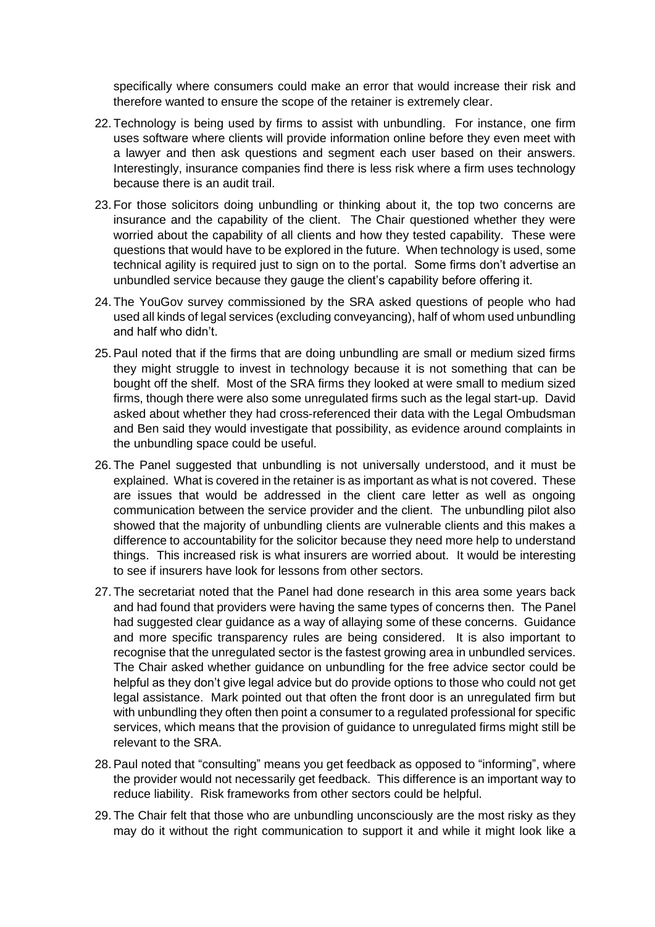specifically where consumers could make an error that would increase their risk and therefore wanted to ensure the scope of the retainer is extremely clear.

- 22. Technology is being used by firms to assist with unbundling. For instance, one firm uses software where clients will provide information online before they even meet with a lawyer and then ask questions and segment each user based on their answers. Interestingly, insurance companies find there is less risk where a firm uses technology because there is an audit trail.
- 23. For those solicitors doing unbundling or thinking about it, the top two concerns are insurance and the capability of the client. The Chair questioned whether they were worried about the capability of all clients and how they tested capability. These were questions that would have to be explored in the future. When technology is used, some technical agility is required just to sign on to the portal. Some firms don't advertise an unbundled service because they gauge the client's capability before offering it.
- 24. The YouGov survey commissioned by the SRA asked questions of people who had used all kinds of legal services (excluding conveyancing), half of whom used unbundling and half who didn't.
- 25.Paul noted that if the firms that are doing unbundling are small or medium sized firms they might struggle to invest in technology because it is not something that can be bought off the shelf. Most of the SRA firms they looked at were small to medium sized firms, though there were also some unregulated firms such as the legal start-up. David asked about whether they had cross-referenced their data with the Legal Ombudsman and Ben said they would investigate that possibility, as evidence around complaints in the unbundling space could be useful.
- 26. The Panel suggested that unbundling is not universally understood, and it must be explained. What is covered in the retainer is as important as what is not covered. These are issues that would be addressed in the client care letter as well as ongoing communication between the service provider and the client. The unbundling pilot also showed that the majority of unbundling clients are vulnerable clients and this makes a difference to accountability for the solicitor because they need more help to understand things. This increased risk is what insurers are worried about. It would be interesting to see if insurers have look for lessons from other sectors.
- 27. The secretariat noted that the Panel had done research in this area some years back and had found that providers were having the same types of concerns then. The Panel had suggested clear guidance as a way of allaying some of these concerns. Guidance and more specific transparency rules are being considered. It is also important to recognise that the unregulated sector is the fastest growing area in unbundled services. The Chair asked whether guidance on unbundling for the free advice sector could be helpful as they don't give legal advice but do provide options to those who could not get legal assistance. Mark pointed out that often the front door is an unregulated firm but with unbundling they often then point a consumer to a regulated professional for specific services, which means that the provision of guidance to unregulated firms might still be relevant to the SRA.
- 28.Paul noted that "consulting" means you get feedback as opposed to "informing", where the provider would not necessarily get feedback. This difference is an important way to reduce liability. Risk frameworks from other sectors could be helpful.
- 29. The Chair felt that those who are unbundling unconsciously are the most risky as they may do it without the right communication to support it and while it might look like a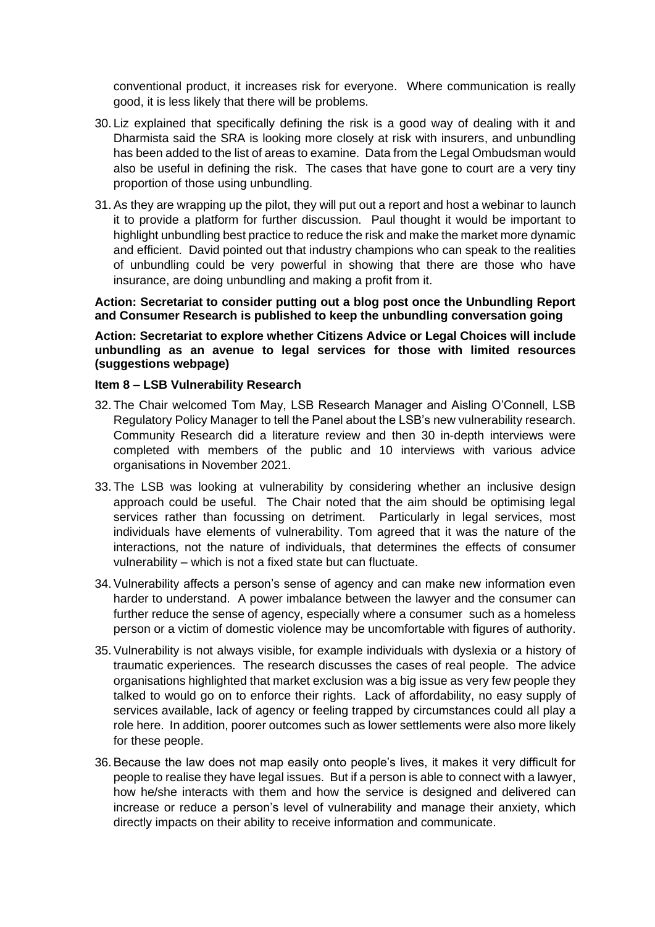conventional product, it increases risk for everyone. Where communication is really good, it is less likely that there will be problems.

- 30. Liz explained that specifically defining the risk is a good way of dealing with it and Dharmista said the SRA is looking more closely at risk with insurers, and unbundling has been added to the list of areas to examine. Data from the Legal Ombudsman would also be useful in defining the risk. The cases that have gone to court are a very tiny proportion of those using unbundling.
- 31.As they are wrapping up the pilot, they will put out a report and host a webinar to launch it to provide a platform for further discussion. Paul thought it would be important to highlight unbundling best practice to reduce the risk and make the market more dynamic and efficient. David pointed out that industry champions who can speak to the realities of unbundling could be very powerful in showing that there are those who have insurance, are doing unbundling and making a profit from it.

**Action: Secretariat to consider putting out a blog post once the Unbundling Report and Consumer Research is published to keep the unbundling conversation going**

**Action: Secretariat to explore whether Citizens Advice or Legal Choices will include unbundling as an avenue to legal services for those with limited resources (suggestions webpage)**

#### **Item 8 – LSB Vulnerability Research**

- 32. The Chair welcomed Tom May, LSB Research Manager and Aisling O'Connell, LSB Regulatory Policy Manager to tell the Panel about the LSB's new vulnerability research. Community Research did a literature review and then 30 in-depth interviews were completed with members of the public and 10 interviews with various advice organisations in November 2021.
- 33. The LSB was looking at vulnerability by considering whether an inclusive design approach could be useful. The Chair noted that the aim should be optimising legal services rather than focussing on detriment. Particularly in legal services, most individuals have elements of vulnerability. Tom agreed that it was the nature of the interactions, not the nature of individuals, that determines the effects of consumer vulnerability – which is not a fixed state but can fluctuate.
- 34.Vulnerability affects a person's sense of agency and can make new information even harder to understand. A power imbalance between the lawyer and the consumer can further reduce the sense of agency, especially where a consumer such as a homeless person or a victim of domestic violence may be uncomfortable with figures of authority.
- 35.Vulnerability is not always visible, for example individuals with dyslexia or a history of traumatic experiences. The research discusses the cases of real people. The advice organisations highlighted that market exclusion was a big issue as very few people they talked to would go on to enforce their rights. Lack of affordability, no easy supply of services available, lack of agency or feeling trapped by circumstances could all play a role here. In addition, poorer outcomes such as lower settlements were also more likely for these people.
- 36.Because the law does not map easily onto people's lives, it makes it very difficult for people to realise they have legal issues. But if a person is able to connect with a lawyer, how he/she interacts with them and how the service is designed and delivered can increase or reduce a person's level of vulnerability and manage their anxiety, which directly impacts on their ability to receive information and communicate.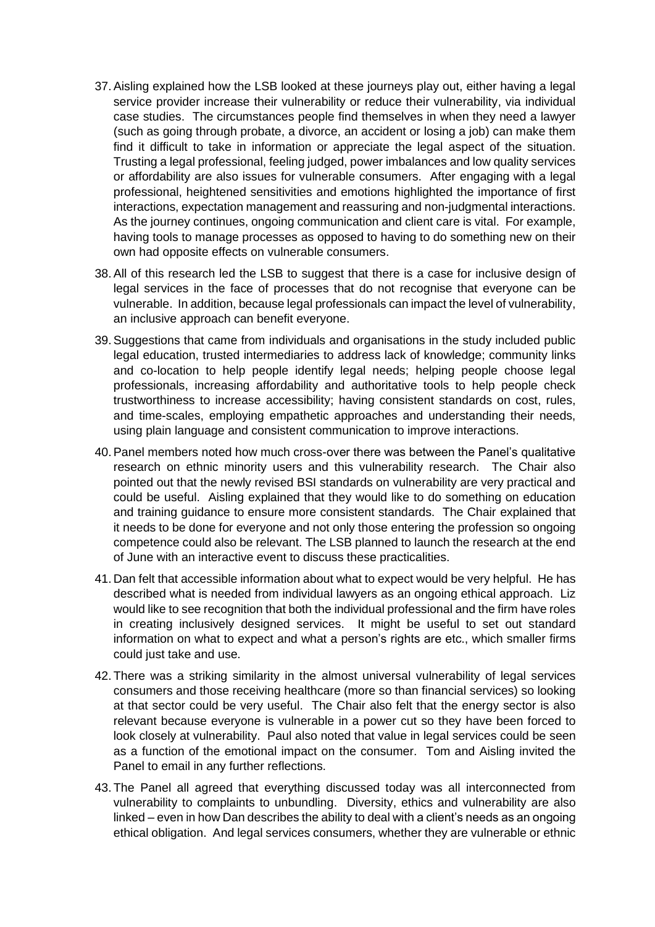- 37.Aisling explained how the LSB looked at these journeys play out, either having a legal service provider increase their vulnerability or reduce their vulnerability, via individual case studies. The circumstances people find themselves in when they need a lawyer (such as going through probate, a divorce, an accident or losing a job) can make them find it difficult to take in information or appreciate the legal aspect of the situation. Trusting a legal professional, feeling judged, power imbalances and low quality services or affordability are also issues for vulnerable consumers. After engaging with a legal professional, heightened sensitivities and emotions highlighted the importance of first interactions, expectation management and reassuring and non-judgmental interactions. As the journey continues, ongoing communication and client care is vital. For example, having tools to manage processes as opposed to having to do something new on their own had opposite effects on vulnerable consumers.
- 38.All of this research led the LSB to suggest that there is a case for inclusive design of legal services in the face of processes that do not recognise that everyone can be vulnerable. In addition, because legal professionals can impact the level of vulnerability, an inclusive approach can benefit everyone.
- 39.Suggestions that came from individuals and organisations in the study included public legal education, trusted intermediaries to address lack of knowledge; community links and co-location to help people identify legal needs; helping people choose legal professionals, increasing affordability and authoritative tools to help people check trustworthiness to increase accessibility; having consistent standards on cost, rules, and time-scales, employing empathetic approaches and understanding their needs, using plain language and consistent communication to improve interactions.
- 40.Panel members noted how much cross-over there was between the Panel's qualitative research on ethnic minority users and this vulnerability research. The Chair also pointed out that the newly revised BSI standards on vulnerability are very practical and could be useful. Aisling explained that they would like to do something on education and training guidance to ensure more consistent standards. The Chair explained that it needs to be done for everyone and not only those entering the profession so ongoing competence could also be relevant. The LSB planned to launch the research at the end of June with an interactive event to discuss these practicalities.
- 41. Dan felt that accessible information about what to expect would be very helpful. He has described what is needed from individual lawyers as an ongoing ethical approach. Liz would like to see recognition that both the individual professional and the firm have roles in creating inclusively designed services. It might be useful to set out standard information on what to expect and what a person's rights are etc., which smaller firms could just take and use.
- 42. There was a striking similarity in the almost universal vulnerability of legal services consumers and those receiving healthcare (more so than financial services) so looking at that sector could be very useful. The Chair also felt that the energy sector is also relevant because everyone is vulnerable in a power cut so they have been forced to look closely at vulnerability. Paul also noted that value in legal services could be seen as a function of the emotional impact on the consumer. Tom and Aisling invited the Panel to email in any further reflections.
- 43. The Panel all agreed that everything discussed today was all interconnected from vulnerability to complaints to unbundling. Diversity, ethics and vulnerability are also linked – even in how Dan describes the ability to deal with a client's needs as an ongoing ethical obligation. And legal services consumers, whether they are vulnerable or ethnic